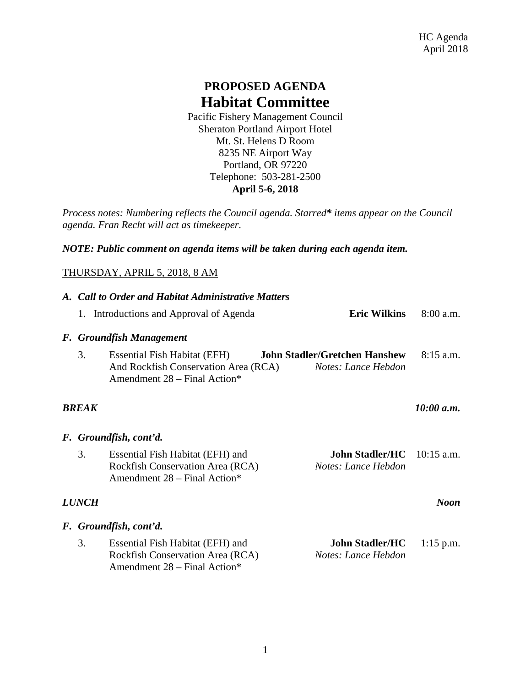## **PROPOSED AGENDA Habitat Committee**

Pacific Fishery Management Council Sheraton Portland Airport Hotel Mt. St. Helens D Room 8235 NE Airport Way Portland, OR 97220 Telephone: 503-281-2500 **April 5-6, 2018**

*Process notes: Numbering reflects the Council agenda. Starred\* items appear on the Council agenda. Fran Recht will act as timekeeper.* 

*NOTE: Public comment on agenda items will be taken during each agenda item.*

## THURSDAY, APRIL 5, 2018, 8 AM

|                             | A. Call to Order and Habitat Administrative Matters |                                                                                                      |                                                             |             |  |
|-----------------------------|-----------------------------------------------------|------------------------------------------------------------------------------------------------------|-------------------------------------------------------------|-------------|--|
|                             |                                                     | 1. Introductions and Approval of Agenda                                                              | <b>Eric Wilkins</b>                                         | $8:00$ a.m. |  |
|                             | F. Groundfish Management                            |                                                                                                      |                                                             |             |  |
|                             | 3.                                                  | Essential Fish Habitat (EFH)<br>And Rockfish Conservation Area (RCA)<br>Amendment 28 - Final Action* | <b>John Stadler/Gretchen Hanshew</b><br>Notes: Lance Hebdon | $8:15$ a.m. |  |
| <b>BREAK</b>                |                                                     |                                                                                                      | 10:00 a.m.                                                  |             |  |
|                             | F. Groundfish, cont'd.                              |                                                                                                      |                                                             |             |  |
|                             | 3.                                                  | Essential Fish Habitat (EFH) and<br>Rockfish Conservation Area (RCA)<br>Amendment 28 - Final Action* | <b>John Stadler/HC</b> 10:15 a.m.<br>Notes: Lance Hebdon    |             |  |
| <b>LUNCH</b><br><b>Noon</b> |                                                     |                                                                                                      |                                                             |             |  |
|                             | F. Groundfish, cont'd.                              |                                                                                                      |                                                             |             |  |
|                             | 3.                                                  | Essential Fish Habitat (EFH) and<br>Rockfish Conservation Area (RCA)<br>Amendment 28 – Final Action* | <b>John Stadler/HC</b><br>Notes: Lance Hebdon               | $1:15$ p.m. |  |